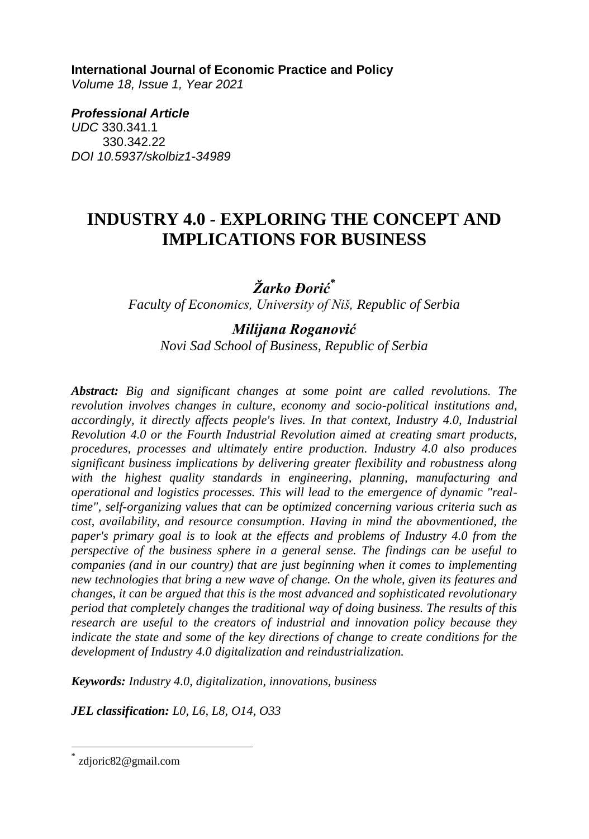#### **International Journal of Economic Practice and Policy**

*Volume 18, Issue 1, Year 2021* 

*Professional Article UDC* 330.341.1 330.342.22 *DOI 10.5937/skolbiz1-34989*

# **INDUSTRY 4.0 - EXPLORING THE CONCEPT AND IMPLICATIONS FOR BUSINESS**

## *Žarko Đorić\**

*Faculty of Economics, University of Niš, Republic of Serbia*

#### *Milijana Roganović Novi Sad School of Business, Republic of Serbia*

*Abstract: Big and significant changes at some point are called revolutions. The revolution involves changes in culture, economy and socio-political institutions and, accordingly, it directly affects people's lives. In that context, Industry 4.0, Industrial Revolution 4.0 or the Fourth Industrial Revolution aimed at creating smart products, procedures, processes and ultimately entire production. Industry 4.0 also produces significant business implications by delivering greater flexibility and robustness along with the highest quality standards in engineering, planning, manufacturing and operational and logistics processes. This will lead to the emergence of dynamic "realtime", self-organizing values that can be optimized concerning various criteria such as cost, availability, and resource consumption. Having in mind the abovmentioned, the paper's primary goal is to look at the effects and problems of Industry 4.0 from the perspective of the business sphere in a general sense. The findings can be useful to companies (and in our country) that are just beginning when it comes to implementing new technologies that bring a new wave of change. On the whole, given its features and changes, it can be argued that this is the most advanced and sophisticated revolutionary period that completely changes the traditional way of doing business. The results of this research are useful to the creators of industrial and innovation policy because they indicate the state and some of the key directions of change to create conditions for the development of Industry 4.0 digitalization and reindustrialization.*

*Keywords: Industry 4.0, digitalization, innovations, business* 

*JEL classification: L0, L6, L8, O14, O33*

 $\overline{a}$ 

<sup>\*</sup> zdjoric82@gmail.com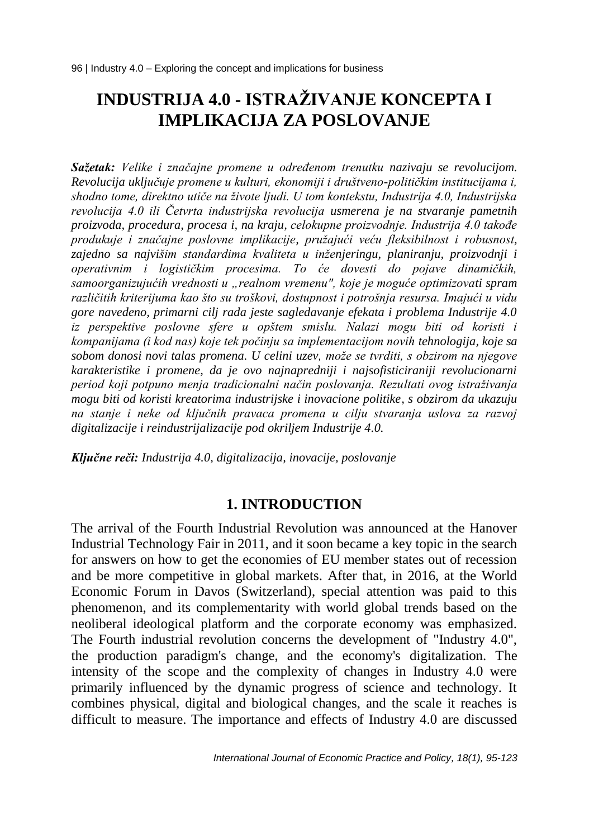# **INDUSTRIJA 4.0 - ISTRAŽIVANJE KONCEPTA I IMPLIKACIJA ZA POSLOVANJE**

*Sažetak: Velike i značajne promene u određenom trenutku nazivaju se revolucijom. Revolucija uključuje promene u kulturi, ekonomiji i društveno-političkim institucijama i, shodno tome, direktno utiče na živote ljudi. U tom kontekstu, Industrija 4.0, Industrijska revolucija 4.0 ili Četvrta industrijska revolucija usmerena je na stvaranje pametnih proizvoda, procedura, procesa i, na kraju, celokupne proizvodnje. Industrija 4.0 takođe produkuje i značajne poslovne implikacije, pružajući veću fleksibilnost i robusnost, zajedno sa najvišim standardima kvaliteta u inženjeringu, planiranju, proizvodnji i operativnim i logističkim procesima. To će dovesti do pojave dinamičkih, samoorganizujućih vrednosti u "realnom vremenu", koje je moguće optimizovati spram različitih kriterijuma kao što su troškovi, dostupnost i potrošnja resursa. Imajući u vidu gore navedeno, primarni cilj rada jeste sagledavanje efekata i problema Industrije 4.0 iz perspektive poslovne sfere u opštem smislu. Nalazi mogu biti od koristi i kompanijama (i kod nas) koje tek počinju sa implementacijom novih tehnologija, koje sa sobom donosi novi talas promena. U celini uzev, može se tvrditi, s obzirom na njegove karakteristike i promene, da je ovo najnapredniji i najsofisticiraniji revolucionarni period koji potpuno menja tradicionalni način poslovanja. Rezultati ovog istraživanja mogu biti od koristi kreatorima industrijske i inovacione politike, s obzirom da ukazuju na stanje i neke od ključnih pravaca promena u cilju stvaranja uslova za razvoj digitalizacije i reindustrijalizacije pod okriljem Industrije 4.0.*

*Ključne reči: Industrija 4.0, digitalizacija, inovacije, poslovanje*

#### **1. INTRODUCTION**

The arrival of the Fourth Industrial Revolution was announced at the Hanover Industrial Technology Fair in 2011, and it soon became a key topic in the search for answers on how to get the economies of EU member states out of recession and be more competitive in global markets. After that, in 2016, at the World Economic Forum in Davos (Switzerland), special attention was paid to this phenomenon, and its complementarity with world global trends based on the neoliberal ideological platform and the corporate economy was emphasized. The Fourth industrial revolution concerns the development of "Industry 4.0", the production paradigm's change, and the economy's digitalization. The intensity of the scope and the complexity of changes in Industry 4.0 were primarily influenced by the dynamic progress of science and technology. It combines physical, digital and biological changes, and the scale it reaches is difficult to measure. The importance and effects of Industry 4.0 are discussed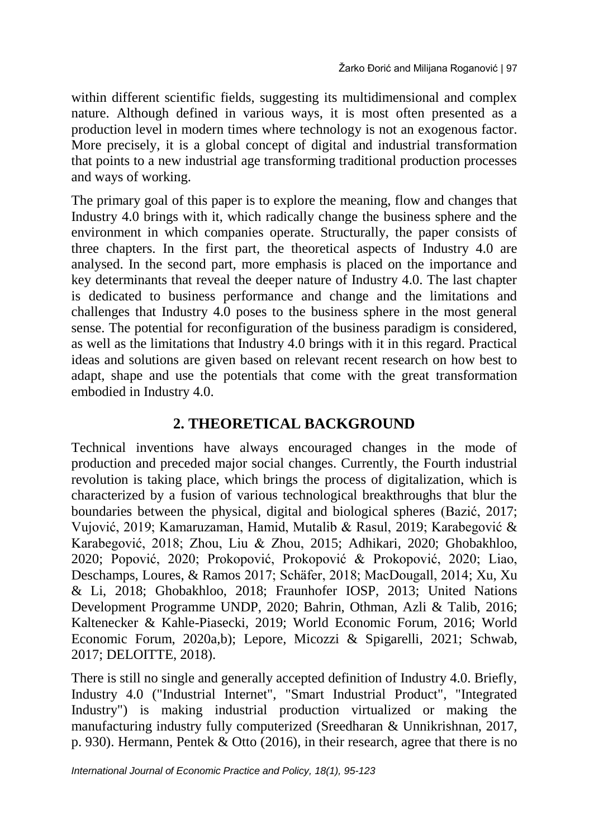within different scientific fields, suggesting its multidimensional and complex nature. Although defined in various ways, it is most often presented as a production level in modern times where technology is not an exogenous factor. More precisely, it is a global concept of digital and industrial transformation that points to a new industrial age transforming traditional production processes and ways of working.

The primary goal of this paper is to explore the meaning, flow and changes that Industry 4.0 brings with it, which radically change the business sphere and the environment in which companies operate. Structurally, the paper consists of three chapters. In the first part, the theoretical aspects of Industry 4.0 are analysed. In the second part, more emphasis is placed on the importance and key determinants that reveal the deeper nature of Industry 4.0. The last chapter is dedicated to business performance and change and the limitations and challenges that Industry 4.0 poses to the business sphere in the most general sense. The potential for reconfiguration of the business paradigm is considered, as well as the limitations that Industry 4.0 brings with it in this regard. Practical ideas and solutions are given based on relevant recent research on how best to adapt, shape and use the potentials that come with the great transformation embodied in Industry 4.0.

## **2. THEORETICAL BACKGROUND**

Technical inventions have always encouraged changes in the mode of production and preceded major social changes. Currently, the Fourth industrial revolution is taking place, which brings the process of digitalization, which is characterized by a fusion of various technological breakthroughs that blur the boundaries between the physical, digital and biological spheres (Bazić, 2017; Vujović, 2019; Kamaruzaman, Hamid, Mutalib & Rasul, 2019; Karabegović & Karabegović, 2018; Zhou, Liu & Zhou, 2015; Adhikari, 2020; Ghobakhloo, 2020; Popović, 2020; Prokopović, Prokopović & Prokopović, 2020; Liao, Deschamps, Loures, & Ramos 2017; Schäfer, 2018; MacDougall, 2014; Xu, Xu & Li, 2018; Ghobakhloo, 2018; Fraunhofer IOSP, 2013; United Nations Development Programme UNDP, 2020; Bahrin, Othman, Azli & Talib, 2016; Kaltenecker & Kahle-Piasecki, 2019; World Economic Forum, 2016; World Economic Forum, 2020a,b); Lepore, Micozzi & Spigarelli, 2021; Schwab, 2017; DELOITTE, 2018).

There is still no single and generally accepted definition of Industry 4.0. Briefly, Industry 4.0 ("Industrial Internet", "Smart Industrial Product", "Integrated Industry") is making industrial production virtualized or making the manufacturing industry fully computerized (Sreedharan & Unnikrishnan, 2017, p. 930). Hermann, Pentek & Otto (2016), in their research, agree that there is no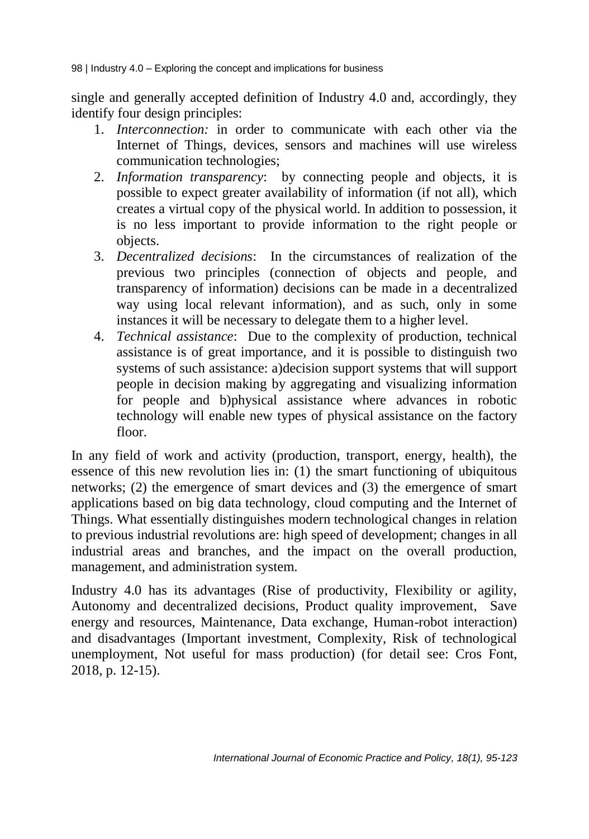single and generally accepted definition of Industry 4.0 and, accordingly, they identify four design principles:

- 1. *Interconnection:* in order to communicate with each other via the Internet of Things, devices, sensors and machines will use wireless communication technologies;
- 2. *Information transparency*: by connecting people and objects, it is possible to expect greater availability of information (if not all), which creates a virtual copy of the physical world. In addition to possession, it is no less important to provide information to the right people or objects.
- 3. *Decentralized decisions*: In the circumstances of realization of the previous two principles (connection of objects and people, and transparency of information) decisions can be made in a decentralized way using local relevant information), and as such, only in some instances it will be necessary to delegate them to a higher level.
- 4. *Technical assistance*: Due to the complexity of production, technical assistance is of great importance, and it is possible to distinguish two systems of such assistance: a)decision support systems that will support people in decision making by aggregating and visualizing information for people and b)physical assistance where advances in robotic technology will enable new types of physical assistance on the factory floor.

In any field of work and activity (production, transport, energy, health), the essence of this new revolution lies in: (1) the smart functioning of ubiquitous networks; (2) the emergence of smart devices and (3) the emergence of smart applications based on big data technology, cloud computing and the Internet of Things. What essentially distinguishes modern technological changes in relation to previous industrial revolutions are: high speed of development; changes in all industrial areas and branches, and the impact on the overall production, management, and administration system.

Industry 4.0 has its advantages (Rise of productivity, Flexibility or agility, Autonomy and decentralized decisions, Product quality improvement, Save energy and resources, Maintenance, Data exchange, Human-robot interaction) and disadvantages (Important investment, Complexity, Risk of technological unemployment, Not useful for mass production) (for detail see: Cros Font, 2018, p. 12-15).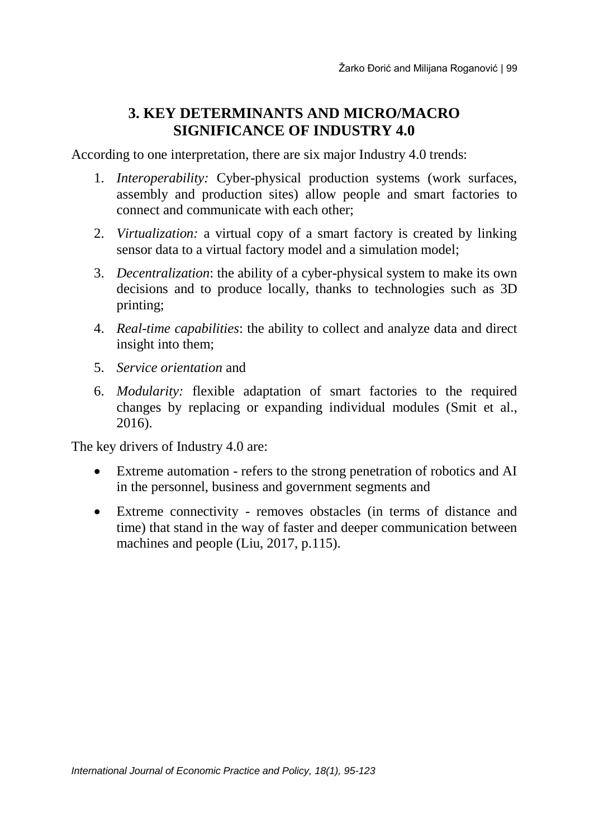## **3. KEY DETERMINANTS AND MICRO/MACRO SIGNIFICANCE OF INDUSTRY 4.0**

According to one interpretation, there are six major Industry 4.0 trends:

- 1. *Interoperability:* Cyber-physical production systems (work surfaces, assembly and production sites) allow people and smart factories to connect and communicate with each other;
- 2. *Virtualization:* a virtual copy of a smart factory is created by linking sensor data to a virtual factory model and a simulation model;
- 3. *Decentralization*: the ability of a cyber-physical system to make its own decisions and to produce locally, thanks to technologies such as 3D printing;
- 4. *Real-time capabilities*: the ability to collect and analyze data and direct insight into them;
- 5. *Service orientation* and
- 6. *Modularity:* flexible adaptation of smart factories to the required changes by replacing or expanding individual modules (Smit et al., 2016).

The key drivers of Industry 4.0 are:

- Extreme automation refers to the strong penetration of robotics and AI in the personnel, business and government segments and
- Extreme connectivity removes obstacles (in terms of distance and time) that stand in the way of faster and deeper communication between machines and people (Liu, 2017, p.115).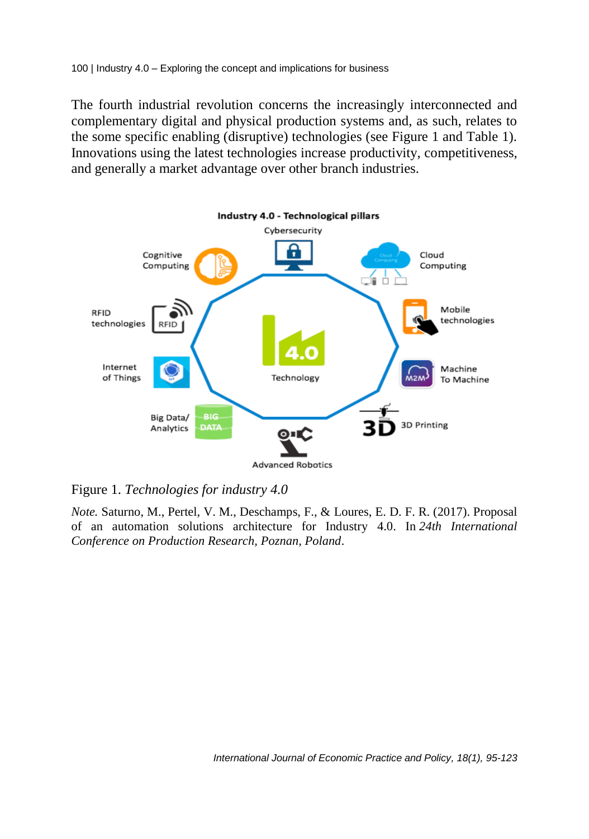The fourth industrial revolution concerns the increasingly interconnected and complementary digital and physical production systems and, as such, relates to the some specific enabling (disruptive) technologies (see Figure 1 and Table 1). Innovations using the latest technologies increase productivity, competitiveness, and generally a market advantage over other branch industries.



Figure 1. *Technologies for industry 4.0*

*Note.* Saturno, M., Pertel, V. M., Deschamps, F., & Loures, E. D. F. R. (2017). Proposal of an automation solutions architecture for Industry 4.0. In *24th International Conference on Production Research, Poznan, Poland.*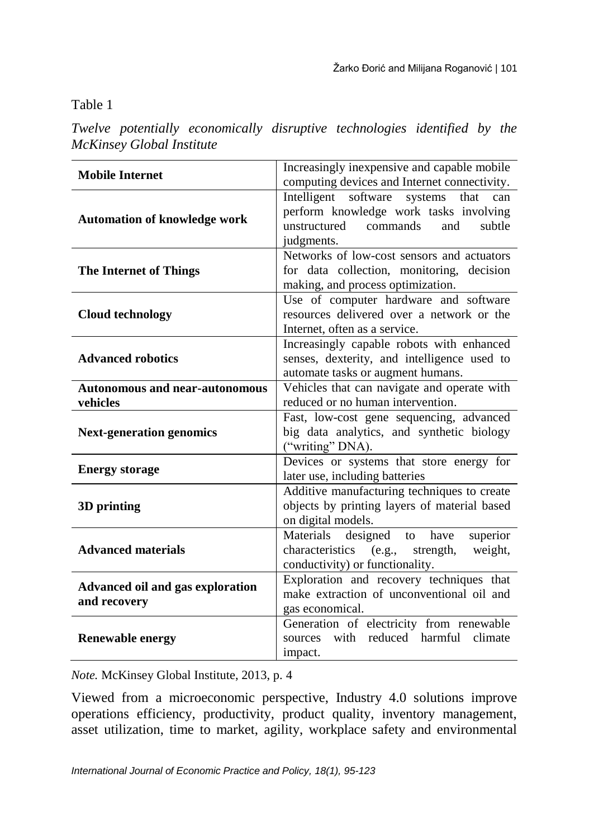Table 1

*Twelve potentially economically disruptive technologies identified by the McKinsey Global Institute*

| <b>Mobile Internet</b>                                                                                                                                       | Increasingly inexpensive and capable mobile                                                                                                      |  |
|--------------------------------------------------------------------------------------------------------------------------------------------------------------|--------------------------------------------------------------------------------------------------------------------------------------------------|--|
|                                                                                                                                                              | computing devices and Internet connectivity.                                                                                                     |  |
| <b>Automation of knowledge work</b>                                                                                                                          | Intelligent software<br>systems that<br>can<br>perform knowledge work tasks involving<br>unstructured<br>commands<br>and<br>subtle<br>judgments. |  |
| <b>The Internet of Things</b>                                                                                                                                | Networks of low-cost sensors and actuators<br>for data collection, monitoring, decision<br>making, and process optimization.                     |  |
| Use of computer hardware and software<br>resources delivered over a network or the<br><b>Cloud technology</b><br>Internet, often as a service.               |                                                                                                                                                  |  |
| <b>Advanced robotics</b>                                                                                                                                     | Increasingly capable robots with enhanced<br>senses, dexterity, and intelligence used to<br>automate tasks or augment humans.                    |  |
| Vehicles that can navigate and operate with<br><b>Autonomous and near-autonomous</b><br>reduced or no human intervention.<br>vehicles                        |                                                                                                                                                  |  |
| <b>Next-generation genomics</b>                                                                                                                              | Fast, low-cost gene sequencing, advanced<br>big data analytics, and synthetic biology<br>("writing" DNA).                                        |  |
| <b>Energy storage</b>                                                                                                                                        | Devices or systems that store energy for<br>later use, including batteries                                                                       |  |
| 3D printing                                                                                                                                                  | Additive manufacturing techniques to create<br>objects by printing layers of material based<br>on digital models.                                |  |
| <b>Advanced materials</b>                                                                                                                                    | Materials designed to have<br>superior<br>characteristics (e.g., strength, weight,<br>conductivity) or functionality.                            |  |
| Exploration and recovery techniques that<br>Advanced oil and gas exploration<br>make extraction of unconventional oil and<br>and recovery<br>gas economical. |                                                                                                                                                  |  |
| <b>Renewable energy</b>                                                                                                                                      | Generation of electricity from renewable<br>with reduced harmful climate<br>sources<br>impact.                                                   |  |

*Note.* McKinsey Global Institute, 2013, p. 4

Viewed from a microeconomic perspective, Industry 4.0 solutions improve operations efficiency, productivity, product quality, inventory management, asset utilization, time to market, agility, workplace safety and environmental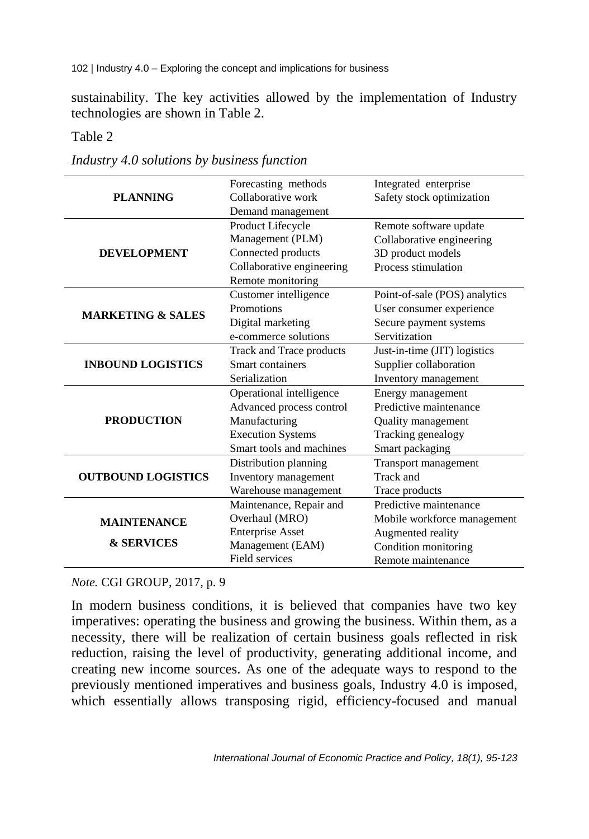sustainability. The key activities allowed by the implementation of Industry technologies are shown in Table 2.

Table 2

|                              | Forecasting methods       | Integrated enterprise         |
|------------------------------|---------------------------|-------------------------------|
| <b>PLANNING</b>              | Collaborative work        | Safety stock optimization     |
|                              | Demand management         |                               |
|                              | Product Lifecycle         | Remote software update        |
|                              | Management (PLM)          | Collaborative engineering     |
| <b>DEVELOPMENT</b>           | Connected products        | 3D product models             |
|                              | Collaborative engineering | Process stimulation           |
|                              | Remote monitoring         |                               |
|                              | Customer intelligence     | Point-of-sale (POS) analytics |
| <b>MARKETING &amp; SALES</b> | Promotions                | User consumer experience      |
|                              | Digital marketing         | Secure payment systems        |
|                              | e-commerce solutions      | Servitization                 |
|                              | Track and Trace products  | Just-in-time (JIT) logistics  |
| <b>INBOUND LOGISTICS</b>     | Smart containers          | Supplier collaboration        |
|                              | Serialization             | Inventory management          |
|                              | Operational intelligence  | Energy management             |
|                              | Advanced process control  | Predictive maintenance        |
| <b>PRODUCTION</b>            | Manufacturing             | Quality management            |
|                              | <b>Execution Systems</b>  | Tracking genealogy            |
|                              | Smart tools and machines  | Smart packaging               |
|                              | Distribution planning     | Transport management          |
| <b>OUTBOUND LOGISTICS</b>    | Inventory management      | Track and                     |
|                              | Warehouse management      | Trace products                |
|                              | Maintenance, Repair and   | Predictive maintenance        |
| <b>MAINTENANCE</b>           | Overhaul (MRO)            | Mobile workforce management   |
|                              | <b>Enterprise Asset</b>   | Augmented reality             |
| <b>&amp; SERVICES</b>        | Management (EAM)          | Condition monitoring          |
|                              | Field services            | Remote maintenance            |

*Industry 4.0 solutions by business function*

*Note.* CGI GROUP, 2017, p. 9

In modern business conditions, it is believed that companies have two key imperatives: operating the business and growing the business. Within them, as a necessity, there will be realization of certain business goals reflected in risk reduction, raising the level of productivity, generating additional income, and creating new income sources. As one of the adequate ways to respond to the previously mentioned imperatives and business goals, Industry 4.0 is imposed, which essentially allows transposing rigid, efficiency-focused and manual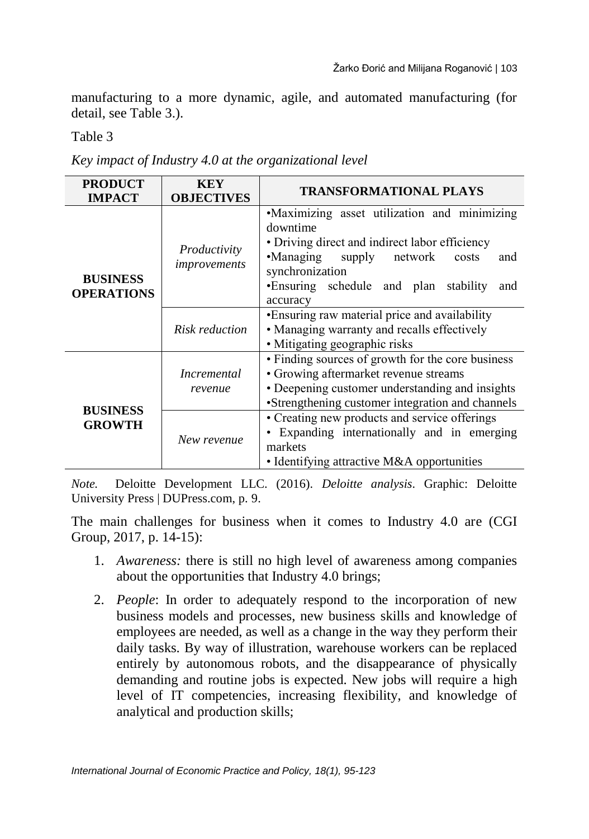manufacturing to a more dynamic, agile, and automated manufacturing (for detail, see Table 3.).

Table 3

*Key impact of Industry 4.0 at the organizational level*

| <b>PRODUCT</b>                       | <b>KEY</b>                    | <b>TRANSFORMATIONAL PLAYS</b>                                                                                                                                                                                                         |  |  |  |  |
|--------------------------------------|-------------------------------|---------------------------------------------------------------------------------------------------------------------------------------------------------------------------------------------------------------------------------------|--|--|--|--|
| <b>IMPACT</b>                        | <b>OBJECTIVES</b>             |                                                                                                                                                                                                                                       |  |  |  |  |
| <b>BUSINESS</b><br><b>OPERATIONS</b> | Productivity<br>improvements  | •Maximizing asset utilization and minimizing<br>downtime<br>• Driving direct and indirect labor efficiency<br>•Managing supply network<br>costs<br>and<br>synchronization<br>•Ensuring schedule and plan stability<br>and<br>accuracy |  |  |  |  |
|                                      | <b>Risk reduction</b>         | •Ensuring raw material price and availability<br>• Managing warranty and recalls effectively<br>• Mitigating geographic risks                                                                                                         |  |  |  |  |
|                                      | <i>Incremental</i><br>revenue | • Finding sources of growth for the core business<br>• Growing aftermarket revenue streams<br>• Deepening customer understanding and insights<br>•Strengthening customer integration and channels                                     |  |  |  |  |
| <b>BUSINESS</b><br><b>GROWTH</b>     | New revenue                   | • Creating new products and service offerings<br>Expanding internationally and in emerging<br>markets<br>• Identifying attractive M&A opportunities                                                                                   |  |  |  |  |

*Note.* Deloitte Development LLC. (2016). *Deloitte analysis*. Graphic: Deloitte University Press | DUPress.com, p. 9.

The main challenges for business when it comes to Industry 4.0 are (CGI Group, 2017, p. 14-15):

- 1. *Awareness:* there is still no high level of awareness among companies about the opportunities that Industry 4.0 brings;
- 2. *People*: In order to adequately respond to the incorporation of new business models and processes, new business skills and knowledge of employees are needed, as well as a change in the way they perform their daily tasks. By way of illustration, warehouse workers can be replaced entirely by autonomous robots, and the disappearance of physically demanding and routine jobs is expected. New jobs will require a high level of IT competencies, increasing flexibility, and knowledge of analytical and production skills;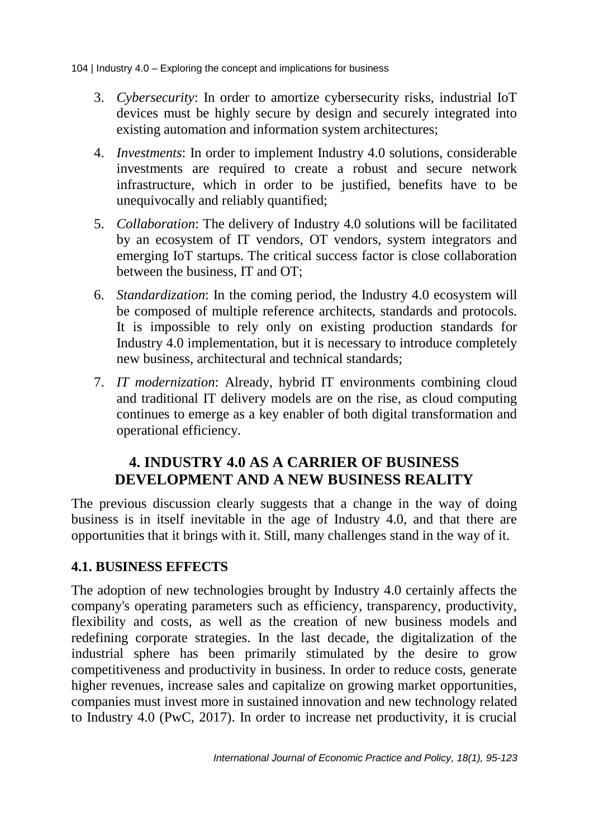- 3. *Cybersecurity*: In order to amortize cybersecurity risks, industrial IoT devices must be highly secure by design and securely integrated into existing automation and information system architectures;
- 4. *Investments*: In order to implement Industry 4.0 solutions, considerable investments are required to create a robust and secure network infrastructure, which in order to be justified, benefits have to be unequivocally and reliably quantified;
- 5. *Collaboration*: The delivery of Industry 4.0 solutions will be facilitated by an ecosystem of IT vendors, OT vendors, system integrators and emerging IoT startups. The critical success factor is close collaboration between the business, IT and OT;
- 6. *Standardization*: In the coming period, the Industry 4.0 ecosystem will be composed of multiple reference architects, standards and protocols. It is impossible to rely only on existing production standards for Industry 4.0 implementation, but it is necessary to introduce completely new business, architectural and technical standards;
- 7. *IT modernization*: Already, hybrid IT environments combining cloud and traditional IT delivery models are on the rise, as cloud computing continues to emerge as a key enabler of both digital transformation and operational efficiency.

### **4. INDUSTRY 4.0 AS A CARRIER OF BUSINESS DEVELOPMENT AND A NEW BUSINESS REALITY**

The previous discussion clearly suggests that a change in the way of doing business is in itself inevitable in the age of Industry 4.0, and that there are opportunities that it brings with it. Still, many challenges stand in the way of it.

#### **4.1. BUSINESS EFFECTS**

The adoption of new technologies brought by Industry 4.0 certainly affects the company's operating parameters such as efficiency, transparency, productivity, flexibility and costs, as well as the creation of new business models and redefining corporate strategies. In the last decade, the digitalization of the industrial sphere has been primarily stimulated by the desire to grow competitiveness and productivity in business. In order to reduce costs, generate higher revenues, increase sales and capitalize on growing market opportunities, companies must invest more in sustained innovation and new technology related to Industry 4.0 (PwC, 2017). In order to increase net productivity, it is crucial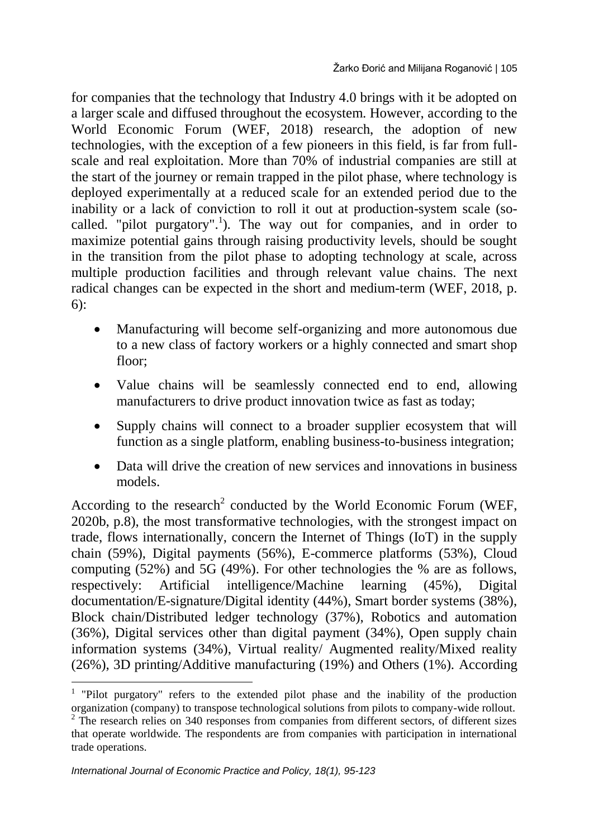for companies that the technology that Industry 4.0 brings with it be adopted on a larger scale and diffused throughout the ecosystem. However, according to the World Economic Forum (WEF, 2018) research, the adoption of new technologies, with the exception of a few pioneers in this field, is far from fullscale and real exploitation. More than 70% of industrial companies are still at the start of the journey or remain trapped in the pilot phase, where technology is deployed experimentally at a reduced scale for an extended period due to the inability or a lack of conviction to roll it out at production-system scale (socalled. "pilot purgatory".<sup>1</sup>). The way out for companies, and in order to maximize potential gains through raising productivity levels, should be sought in the transition from the pilot phase to adopting technology at scale, across multiple production facilities and through relevant value chains. The next radical changes can be expected in the short and medium-term (WEF, 2018, p. 6):

- Manufacturing will become self-organizing and more autonomous due to a new class of factory workers or a highly connected and smart shop floor;
- Value chains will be seamlessly connected end to end, allowing manufacturers to drive product innovation twice as fast as today;
- Supply chains will connect to a broader supplier ecosystem that will function as a single platform, enabling business-to-business integration;
- Data will drive the creation of new services and innovations in business models.

According to the research<sup>2</sup> conducted by the World Economic Forum (WEF, 2020b, p.8), the most transformative technologies, with the strongest impact on trade, flows internationally, concern the Internet of Things (IoT) in the supply chain (59%), Digital payments (56%), E-commerce platforms (53%), Cloud computing (52%) and 5G (49%). For other technologies the % are as follows, respectively: Artificial intelligence/Machine learning (45%), Digital documentation/E-signature/Digital identity (44%), Smart border systems (38%), Block chain/Distributed ledger technology (37%), Robotics and automation (36%), Digital services other than digital payment (34%), Open supply chain information systems (34%), Virtual reality/ Augmented reality/Mixed reality (26%), 3D printing/Additive manufacturing (19%) and Others (1%). According

 $\overline{a}$ 

<sup>&</sup>lt;sup>1</sup> "Pilot purgatory" refers to the extended pilot phase and the inability of the production organization (company) to transpose technological solutions from pilots to company-wide rollout.

 $2$  The research relies on 340 responses from companies from different sectors, of different sizes that operate worldwide. The respondents are from companies with participation in international trade operations.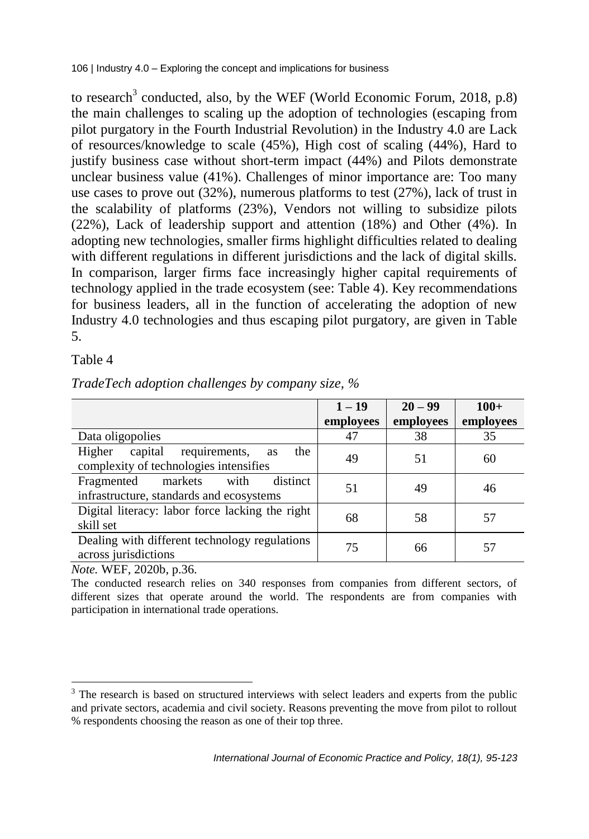to research<sup>3</sup> conducted, also, by the WEF (World Economic Forum, 2018, p.8) the main challenges to scaling up the adoption of technologies (escaping from pilot purgatory in the Fourth Industrial Revolution) in the Industry 4.0 are Lack of resources/knowledge to scale (45%), High cost of scaling (44%), Hard to justify business case without short-term impact (44%) and Pilots demonstrate unclear business value (41%). Challenges of minor importance are: Too many use cases to prove out (32%), numerous platforms to test (27%), lack of trust in the scalability of platforms (23%), Vendors not willing to subsidize pilots (22%), Lack of leadership support and attention (18%) and Other (4%). In adopting new technologies, smaller firms highlight difficulties related to dealing with different regulations in different jurisdictions and the lack of digital skills. In comparison, larger firms face increasingly higher capital requirements of technology applied in the trade ecosystem (see: Table 4). Key recommendations for business leaders, all in the function of accelerating the adoption of new Industry 4.0 technologies and thus escaping pilot purgatory, are given in Table 5.

Table 4

 $\overline{a}$ 

|                                                                                                  | $1 - 19$  | $20 - 99$ | $100+$    |
|--------------------------------------------------------------------------------------------------|-----------|-----------|-----------|
|                                                                                                  | employees | employees | employees |
| Data oligopolies                                                                                 | 47        | 38        | 35        |
| requirements,<br>capital<br>Higher<br>the<br><b>as</b><br>complexity of technologies intensifies | 49        | 51        | 60        |
| with<br>distinct<br>markets<br>Fragmented<br>infrastructure, standards and ecosystems            | 51        | 49        | 46        |
| Digital literacy: labor force lacking the right<br>skill set                                     | 68        | 58        | 57        |
| Dealing with different technology regulations<br>across jurisdictions                            | 75        | 66        | 57        |

*TradeTech adoption challenges by company size, %*

*Note.* WEF, 2020b, p.36.

The conducted research relies on 340 responses from companies from different sectors, of different sizes that operate around the world. The respondents are from companies with participation in international trade operations.

<sup>&</sup>lt;sup>3</sup> The research is based on structured interviews with select leaders and experts from the public and private sectors, academia and civil society. Reasons preventing the move from pilot to rollout % respondents choosing the reason as one of their top three.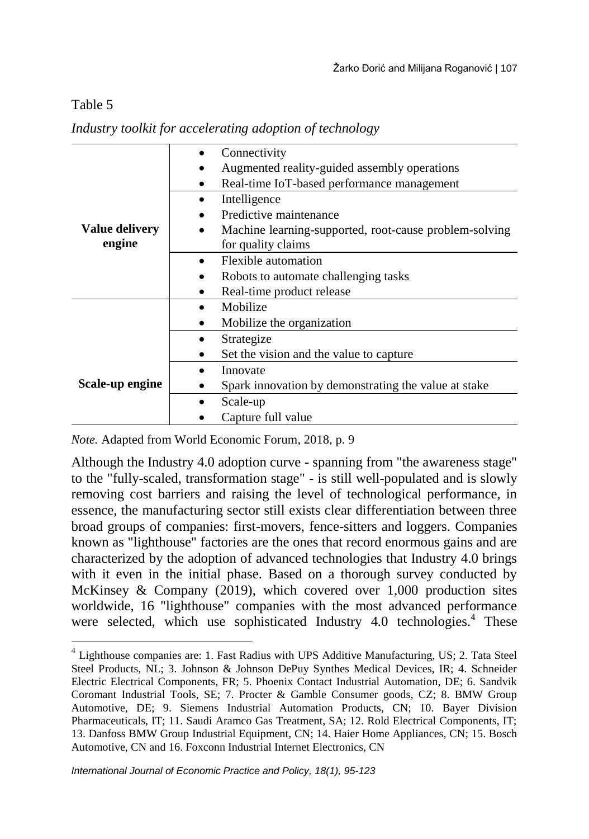#### Table 5

|                              | Connectivity                                           |  |  |
|------------------------------|--------------------------------------------------------|--|--|
|                              | Augmented reality-guided assembly operations           |  |  |
|                              | Real-time IoT-based performance management             |  |  |
|                              | Intelligence                                           |  |  |
|                              | Predictive maintenance                                 |  |  |
| <b>Value delivery</b>        | Machine learning-supported, root-cause problem-solving |  |  |
| engine<br>for quality claims |                                                        |  |  |
|                              | Flexible automation                                    |  |  |
|                              | Robots to automate challenging tasks                   |  |  |
|                              | Real-time product release                              |  |  |
|                              | Mobilize                                               |  |  |
|                              | Mobilize the organization                              |  |  |
|                              | Strategize                                             |  |  |
|                              | Set the vision and the value to capture                |  |  |
|                              | Innovate                                               |  |  |
| Scale-up engine              | Spark innovation by demonstrating the value at stake   |  |  |
|                              | Scale-up                                               |  |  |
|                              | Capture full value                                     |  |  |

*Industry toolkit for accelerating adoption of technology*

*Note.* Adapted from World Economic Forum, 2018, p. 9

Although the Industry 4.0 adoption curve - spanning from "the awareness stage" to the "fully-scaled, transformation stage" - is still well-populated and is slowly removing cost barriers and raising the level of technological performance, in essence, the manufacturing sector still exists clear differentiation between three broad groups of companies: first-movers, fence-sitters and loggers. Companies known as "lighthouse" factories are the ones that record enormous gains and are characterized by the adoption of advanced technologies that Industry 4.0 brings with it even in the initial phase. Based on a thorough survey conducted by McKinsey & Company  $(2019)$ , which covered over 1,000 production sites worldwide, 16 "lighthouse" companies with the most advanced performance were selected, which use sophisticated Industry 4.0 technologies.<sup>4</sup> These

 4 Lighthouse companies are: 1. Fast Radius with UPS Additive Manufacturing, US; 2. Tata Steel Steel Products, NL; 3. Johnson & Johnson DePuy Synthes Medical Devices, IR; 4. Schneider Electric Electrical Components, FR; 5. Phoenix Contact Industrial Automation, DE; 6. Sandvik Coromant Industrial Tools, SE; 7. Procter & Gamble Consumer goods, CZ; 8. BMW Group Automotive, DE; 9. Siemens Industrial Automation Products, CN; 10. Bayer Division Pharmaceuticals, IT; 11. Saudi Aramco Gas Treatment, SA; 12. Rold Electrical Components, IT; 13. Danfoss BMW Group Industrial Equipment, CN; 14. Haier Home Appliances, CN; 15. Bosch Automotive, CN and 16. Foxconn Industrial Internet Electronics, CN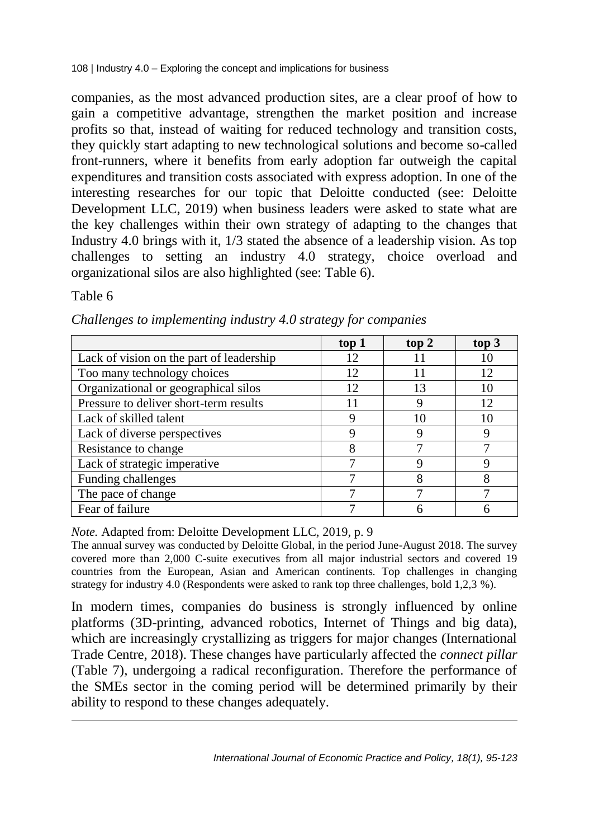companies, as the most advanced production sites, are a clear proof of how to gain a competitive advantage, strengthen the market position and increase profits so that, instead of waiting for reduced technology and transition costs, they quickly start adapting to new technological solutions and become so-called front-runners, where it benefits from early adoption far outweigh the capital expenditures and transition costs associated with express adoption. In one of the interesting researches for our topic that Deloitte conducted (see: Deloitte Development LLC, 2019) when business leaders were asked to state what are the key challenges within their own strategy of adapting to the changes that Industry 4.0 brings with it, 1/3 stated the absence of a leadership vision. As top challenges to setting an industry 4.0 strategy, choice overload and organizational silos are also highlighted (see: Table 6).

Table 6

 $\overline{a}$ 

|                                          | top 1 | top 2 | top 3 |
|------------------------------------------|-------|-------|-------|
| Lack of vision on the part of leadership | 12.   | 11    | 10    |
| Too many technology choices              | 12    | 11    | 12    |
| Organizational or geographical silos     | 12    | 13    | 10    |
| Pressure to deliver short-term results   |       | Ϋ     | 12    |
| Lack of skilled talent                   |       | 10    | 10    |
| Lack of diverse perspectives             |       |       |       |
| Resistance to change                     | 8     |       |       |
| Lack of strategic imperative             |       | Ω     |       |
| Funding challenges                       |       | 8     | 8     |
| The pace of change                       |       |       |       |
| Fear of failure                          |       |       |       |

*Challenges to implementing industry 4.0 strategy for companies*

*Note.* Adapted from: Deloitte Development LLC, 2019, p. 9

The annual survey was conducted by Deloitte Global, in the period June-August 2018. The survey covered more than 2,000 C-suite executives from all major industrial sectors and covered 19 countries from the European, Asian and American continents. Top challenges in changing strategy for industry 4.0 (Respondents were asked to rank top three challenges, bold 1,2,3 %).

In modern times, companies do business is strongly influenced by online platforms (3D-printing, advanced robotics, Internet of Things and big data), which are increasingly crystallizing as triggers for major changes (International Trade Centre, 2018). These changes have particularly affected the *connect pillar* (Table 7), undergoing a radical reconfiguration. Therefore the performance of the SMEs sector in the coming period will be determined primarily by their ability to respond to these changes adequately.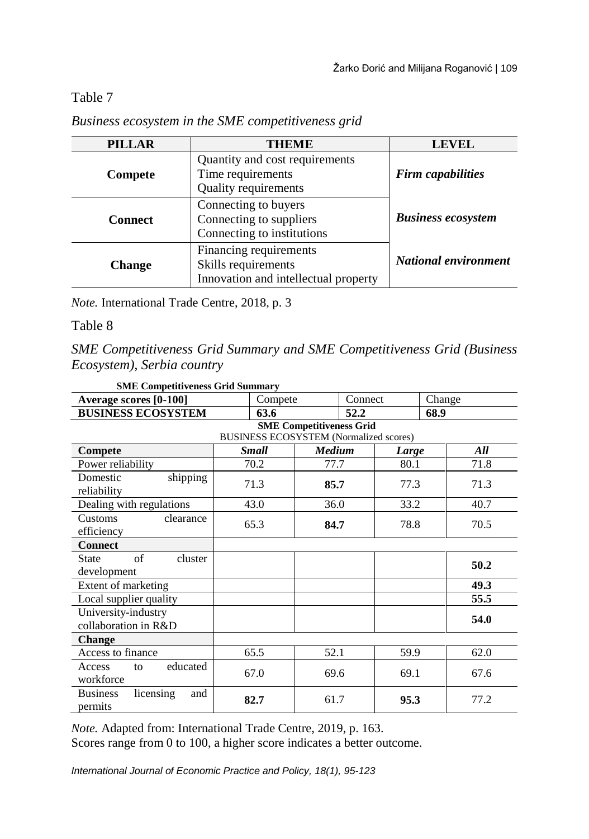Table 7

| <b>PILLAR</b>  | <b>THEME</b>                                                                          | <b>LEVEL</b>                |
|----------------|---------------------------------------------------------------------------------------|-----------------------------|
| Compete        | Quantity and cost requirements<br>Time requirements<br><b>Quality requirements</b>    | <b>Firm capabilities</b>    |
| <b>Connect</b> | Connecting to buyers<br>Connecting to suppliers<br>Connecting to institutions         | <b>Business ecosystem</b>   |
| <b>Change</b>  | Financing requirements<br>Skills requirements<br>Innovation and intellectual property | <b>National environment</b> |

#### *Business ecosystem in the SME competitiveness grid*

*Note.* International Trade Centre, 2018, p. 3

Table 8

*SME Competitiveness Grid Summary and SME Competitiveness Grid (Business Ecosystem), Serbia country*

| Average scores [0-100]                         | Compete                                       |               | Connect | Change |  |
|------------------------------------------------|-----------------------------------------------|---------------|---------|--------|--|
| <b>BUSINESS ECOSYSTEM</b>                      | 63.6                                          |               | 52.2    | 68.9   |  |
|                                                | <b>SME Competitiveness Grid</b>               |               |         |        |  |
|                                                | <b>BUSINESS ECOSYSTEM (Normalized scores)</b> |               |         |        |  |
| Compete                                        | <b>Small</b>                                  | <b>Medium</b> | Large   | All    |  |
| Power reliability                              | 70.2                                          | 77.7          | 80.1    | 71.8   |  |
| Domestic<br>shipping<br>reliability            | 71.3                                          | 85.7          | 77.3    | 71.3   |  |
| Dealing with regulations                       | 43.0                                          | 36.0          | 33.2    | 40.7   |  |
| clearance<br>Customs<br>efficiency             | 65.3                                          | 84.7          | 78.8    | 70.5   |  |
| <b>Connect</b>                                 |                                               |               |         |        |  |
| of<br>cluster<br><b>State</b><br>development   |                                               |               |         | 50.2   |  |
| Extent of marketing                            |                                               |               |         | 49.3   |  |
| Local supplier quality                         |                                               |               |         | 55.5   |  |
| University-industry<br>collaboration in R&D    |                                               |               |         | 54.0   |  |
| <b>Change</b>                                  |                                               |               |         |        |  |
| Access to finance                              | 65.5                                          | 52.1          | 59.9    | 62.0   |  |
| educated<br>Access<br>to<br>workforce          | 67.0                                          | 69.6          | 69.1    | 67.6   |  |
| <b>Business</b><br>licensing<br>and<br>permits | 82.7                                          | 61.7          | 95.3    | 77.2   |  |

**SME Competitiveness Grid Summary**

*Note.* Adapted from: International Trade Centre, 2019, p. 163.

Scores range from 0 to 100, a higher score indicates a better outcome.

*International Journal of Economic Practice and Policy, 18(1), 95-123*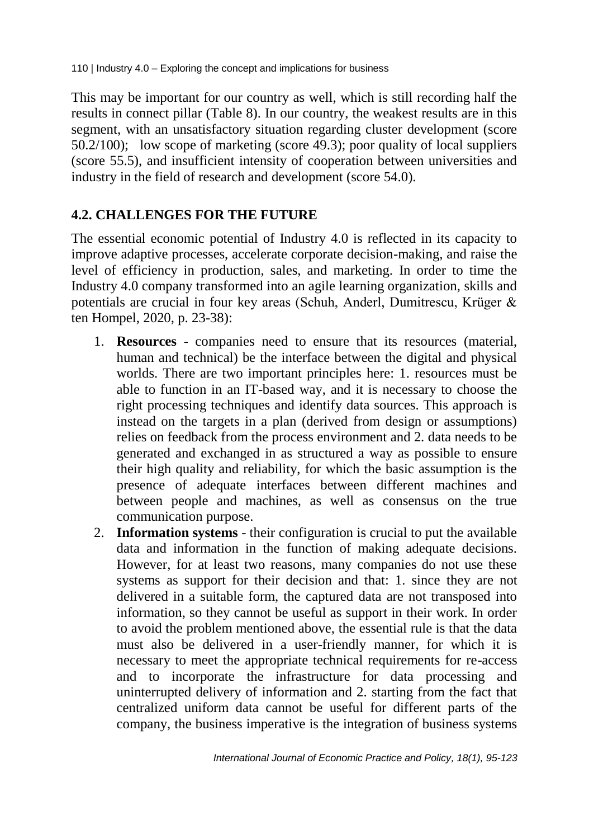This may be important for our country as well, which is still recording half the results in connect pillar (Table 8). In our country, the weakest results are in this segment, with an unsatisfactory situation regarding cluster development (score 50.2/100); low scope of marketing (score 49.3); poor quality of local suppliers (score 55.5), and insufficient intensity of cooperation between universities and industry in the field of research and development (score 54.0).

#### **4.2. CHALLENGES FOR THE FUTURE**

The essential economic potential of Industry 4.0 is reflected in its capacity to improve adaptive processes, accelerate corporate decision-making, and raise the level of efficiency in production, sales, and marketing. In order to time the Industry 4.0 company transformed into an agile learning organization, skills and potentials are crucial in four key areas (Schuh, Anderl, Dumitrescu, Krüger & ten Hompel, 2020, p. 23-38):

- 1. **Resources** companies need to ensure that its resources (material, human and technical) be the interface between the digital and physical worlds. There are two important principles here: 1. resources must be able to function in an IT-based way, and it is necessary to choose the right processing techniques and identify data sources. This approach is instead on the targets in a plan (derived from design or assumptions) relies on feedback from the process environment and 2. data needs to be generated and exchanged in as structured a way as possible to ensure their high quality and reliability, for which the basic assumption is the presence of adequate interfaces between different machines and between people and machines, as well as consensus on the true communication purpose.
- 2. **Information systems** their configuration is crucial to put the available data and information in the function of making adequate decisions. However, for at least two reasons, many companies do not use these systems as support for their decision and that: 1. since they are not delivered in a suitable form, the captured data are not transposed into information, so they cannot be useful as support in their work. In order to avoid the problem mentioned above, the essential rule is that the data must also be delivered in a user-friendly manner, for which it is necessary to meet the appropriate technical requirements for re-access and to incorporate the infrastructure for data processing and uninterrupted delivery of information and 2. starting from the fact that centralized uniform data cannot be useful for different parts of the company, the business imperative is the integration of business systems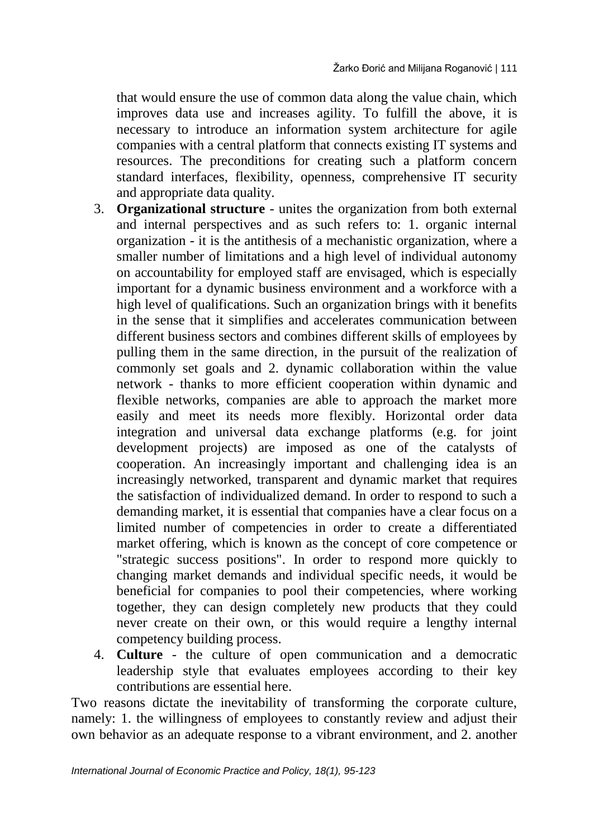that would ensure the use of common data along the value chain, which improves data use and increases agility. To fulfill the above, it is necessary to introduce an information system architecture for agile companies with a central platform that connects existing IT systems and resources. The preconditions for creating such a platform concern standard interfaces, flexibility, openness, comprehensive IT security and appropriate data quality.

- 3. **Organizational structure** unites the organization from both external and internal perspectives and as such refers to: 1. organic internal organization - it is the antithesis of a mechanistic organization, where a smaller number of limitations and a high level of individual autonomy on accountability for employed staff are envisaged, which is especially important for a dynamic business environment and a workforce with a high level of qualifications. Such an organization brings with it benefits in the sense that it simplifies and accelerates communication between different business sectors and combines different skills of employees by pulling them in the same direction, in the pursuit of the realization of commonly set goals and 2. dynamic collaboration within the value network - thanks to more efficient cooperation within dynamic and flexible networks, companies are able to approach the market more easily and meet its needs more flexibly. Horizontal order data integration and universal data exchange platforms (e.g. for joint development projects) are imposed as one of the catalysts of cooperation. An increasingly important and challenging idea is an increasingly networked, transparent and dynamic market that requires the satisfaction of individualized demand. In order to respond to such a demanding market, it is essential that companies have a clear focus on a limited number of competencies in order to create a differentiated market offering, which is known as the concept of core competence or "strategic success positions". In order to respond more quickly to changing market demands and individual specific needs, it would be beneficial for companies to pool their competencies, where working together, they can design completely new products that they could never create on their own, or this would require a lengthy internal competency building process.
- 4. **Culture** the culture of open communication and a democratic leadership style that evaluates employees according to their key contributions are essential here.

Two reasons dictate the inevitability of transforming the corporate culture, namely: 1. the willingness of employees to constantly review and adjust their own behavior as an adequate response to a vibrant environment, and 2. another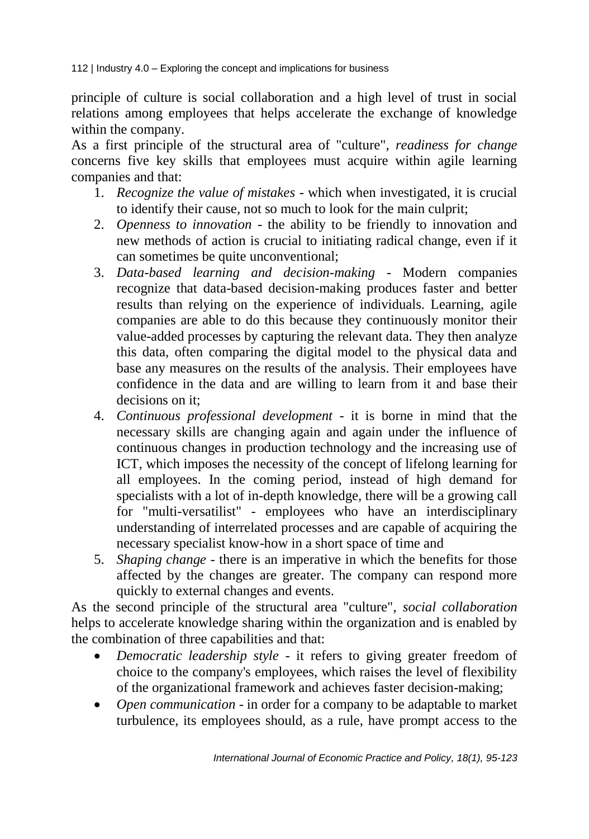principle of culture is social collaboration and a high level of trust in social relations among employees that helps accelerate the exchange of knowledge within the company.

As a first principle of the structural area of "culture", *readiness for change* concerns five key skills that employees must acquire within agile learning companies and that:

- 1. *Recognize the value of mistakes* which when investigated, it is crucial to identify their cause, not so much to look for the main culprit;
- 2. *Openness to innovation* the ability to be friendly to innovation and new methods of action is crucial to initiating radical change, even if it can sometimes be quite unconventional;
- 3. *Data-based learning and decision-making* Modern companies recognize that data-based decision-making produces faster and better results than relying on the experience of individuals. Learning, agile companies are able to do this because they continuously monitor their value-added processes by capturing the relevant data. They then analyze this data, often comparing the digital model to the physical data and base any measures on the results of the analysis. Their employees have confidence in the data and are willing to learn from it and base their decisions on it:
- 4. *Continuous professional development* it is borne in mind that the necessary skills are changing again and again under the influence of continuous changes in production technology and the increasing use of ICT, which imposes the necessity of the concept of lifelong learning for all employees. In the coming period, instead of high demand for specialists with a lot of in-depth knowledge, there will be a growing call for "multi-versatilist" - employees who have an interdisciplinary understanding of interrelated processes and are capable of acquiring the necessary specialist know-how in a short space of time and
- 5. *Shaping change* there is an imperative in which the benefits for those affected by the changes are greater. The company can respond more quickly to external changes and events.

As the second principle of the structural area "culture", *social collaboration* helps to accelerate knowledge sharing within the organization and is enabled by the combination of three capabilities and that:

- *Democratic leadership style* it refers to giving greater freedom of choice to the company's employees, which raises the level of flexibility of the organizational framework and achieves faster decision-making;
- *Open communication* in order for a company to be adaptable to market turbulence, its employees should, as a rule, have prompt access to the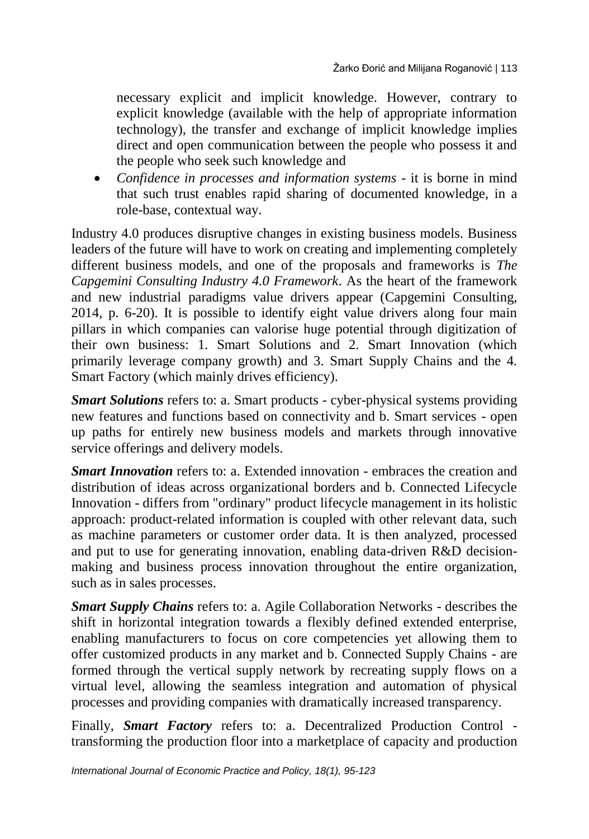necessary explicit and implicit knowledge. However, contrary to explicit knowledge (available with the help of appropriate information technology), the transfer and exchange of implicit knowledge implies direct and open communication between the people who possess it and the people who seek such knowledge and

 *Confidence in processes and information systems* - it is borne in mind that such trust enables rapid sharing of documented knowledge, in a role-base, contextual way.

Industry 4.0 produces disruptive changes in existing business models. Business leaders of the future will have to work on creating and implementing completely different business models, and one of the proposals and frameworks is *The Capgemini Consulting Industry 4.0 Framework*. As the heart of the framework and new industrial paradigms value drivers appear (Capgemini Consulting, 2014, p. 6-20). It is possible to identify eight value drivers along four main pillars in which companies can valorise huge potential through digitization of their own business: 1. Smart Solutions and 2. Smart Innovation (which primarily leverage company growth) and 3. Smart Supply Chains and the 4. Smart Factory (which mainly drives efficiency).

*Smart Solutions* refers to: a. Smart products - cyber-physical systems providing new features and functions based on connectivity and b. Smart services - open up paths for entirely new business models and markets through innovative service offerings and delivery models.

*Smart Innovation* refers to: a. Extended innovation - embraces the creation and distribution of ideas across organizational borders and b. Connected Lifecycle Innovation - differs from "ordinary" product lifecycle management in its holistic approach: product-related information is coupled with other relevant data, such as machine parameters or customer order data. It is then analyzed, processed and put to use for generating innovation, enabling data-driven R&D decisionmaking and business process innovation throughout the entire organization, such as in sales processes.

*Smart Supply Chains* refers to: a. Agile Collaboration Networks - describes the shift in horizontal integration towards a flexibly defined extended enterprise, enabling manufacturers to focus on core competencies yet allowing them to offer customized products in any market and b. Connected Supply Chains - are formed through the vertical supply network by recreating supply flows on a virtual level, allowing the seamless integration and automation of physical processes and providing companies with dramatically increased transparency.

Finally, *Smart Factory* refers to: a. Decentralized Production Control transforming the production floor into a marketplace of capacity and production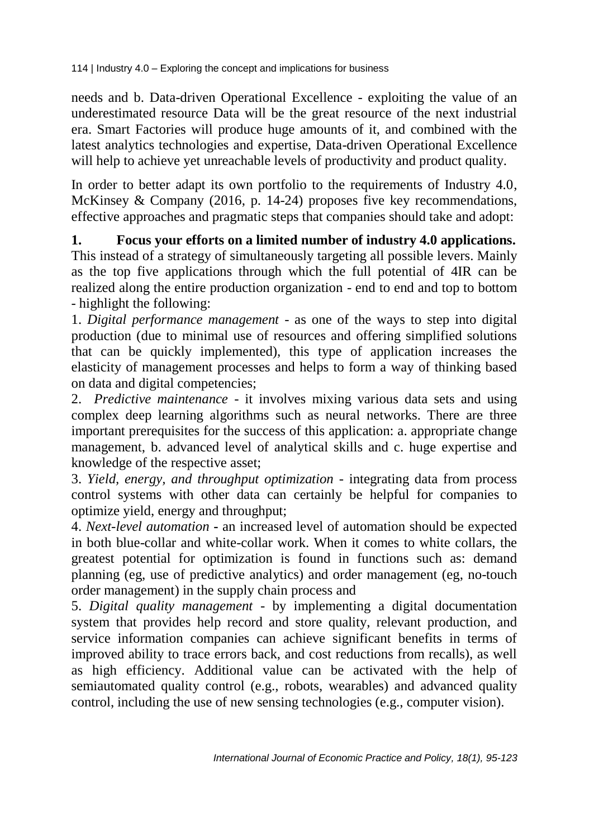needs and b. Data-driven Operational Excellence - exploiting the value of an underestimated resource Data will be the great resource of the next industrial era. Smart Factories will produce huge amounts of it, and combined with the latest analytics technologies and expertise, Data-driven Operational Excellence will help to achieve yet unreachable levels of productivity and product quality.

In order to better adapt its own portfolio to the requirements of Industry 4.0, McKinsey & Company (2016, p. 14-24) proposes five key recommendations, effective approaches and pragmatic steps that companies should take and adopt:

**1. Focus your efforts on a limited number of industry 4.0 applications.** This instead of a strategy of simultaneously targeting all possible levers. Mainly as the top five applications through which the full potential of 4IR can be realized along the entire production organization - end to end and top to bottom - highlight the following:

1. *Digital performance management* - as one of the ways to step into digital production (due to minimal use of resources and offering simplified solutions that can be quickly implemented), this type of application increases the elasticity of management processes and helps to form a way of thinking based on data and digital competencies;

2. *Predictive maintenance* - it involves mixing various data sets and using complex deep learning algorithms such as neural networks. There are three important prerequisites for the success of this application: a. appropriate change management, b. advanced level of analytical skills and c. huge expertise and knowledge of the respective asset;

3. *Yield, energy, and throughput optimization* - integrating data from process control systems with other data can certainly be helpful for companies to optimize yield, energy and throughput;

4. *Next-level automation* **-** an increased level of automation should be expected in both blue-collar and white-collar work. When it comes to white collars, the greatest potential for optimization is found in functions such as: demand planning (eg, use of predictive analytics) and order management (eg, no-touch order management) in the supply chain process and

5. *Digital quality management* - by implementing a digital documentation system that provides help record and store quality, relevant production, and service information companies can achieve significant benefits in terms of improved ability to trace errors back, and cost reductions from recalls), as well as high efficiency. Additional value can be activated with the help of semiautomated quality control (e.g., robots, wearables) and advanced quality control, including the use of new sensing technologies (e.g., computer vision).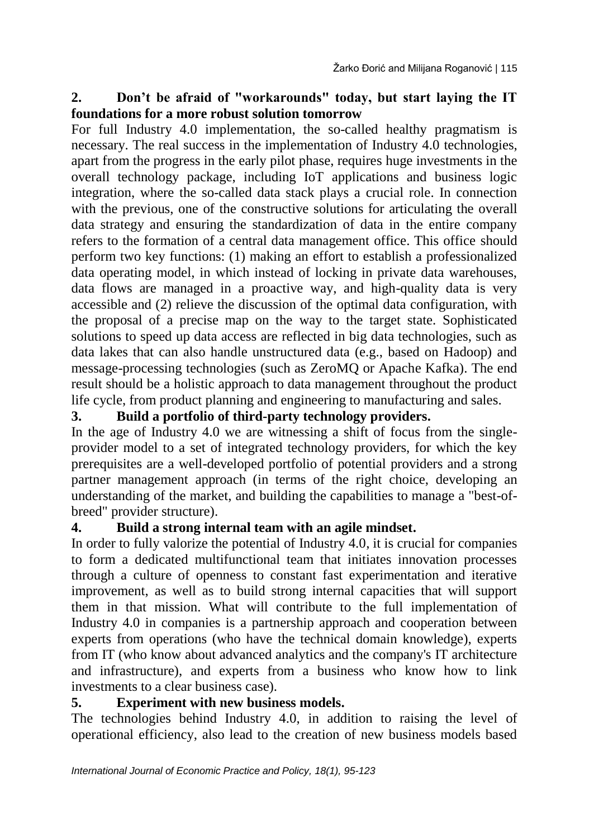#### **2. Don't be afraid of "workarounds" today, but start laying the IT foundations for a more robust solution tomorrow**

For full Industry 4.0 implementation, the so-called healthy pragmatism is necessary. The real success in the implementation of Industry 4.0 technologies, apart from the progress in the early pilot phase, requires huge investments in the overall technology package, including IoT applications and business logic integration, where the so-called data stack plays a crucial role. In connection with the previous, one of the constructive solutions for articulating the overall data strategy and ensuring the standardization of data in the entire company refers to the formation of a central data management office. This office should perform two key functions: (1) making an effort to establish a professionalized data operating model, in which instead of locking in private data warehouses, data flows are managed in a proactive way, and high-quality data is very accessible and (2) relieve the discussion of the optimal data configuration, with the proposal of a precise map on the way to the target state. Sophisticated solutions to speed up data access are reflected in big data technologies, such as data lakes that can also handle unstructured data (e.g., based on Hadoop) and message-processing technologies (such as ZeroMQ or Apache Kafka). The end result should be a holistic approach to data management throughout the product life cycle, from product planning and engineering to manufacturing and sales.

#### **3. Build a portfolio of third-party technology providers.**

In the age of Industry 4.0 we are witnessing a shift of focus from the singleprovider model to a set of integrated technology providers, for which the key prerequisites are a well-developed portfolio of potential providers and a strong partner management approach (in terms of the right choice, developing an understanding of the market, and building the capabilities to manage a "best-ofbreed" provider structure).

#### **4. Build a strong internal team with an agile mindset.**

In order to fully valorize the potential of Industry 4.0, it is crucial for companies to form a dedicated multifunctional team that initiates innovation processes through a culture of openness to constant fast experimentation and iterative improvement, as well as to build strong internal capacities that will support them in that mission. What will contribute to the full implementation of Industry 4.0 in companies is a partnership approach and cooperation between experts from operations (who have the technical domain knowledge), experts from IT (who know about advanced analytics and the company's IT architecture and infrastructure), and experts from a business who know how to link investments to a clear business case).

#### **5. Experiment with new business models.**

The technologies behind Industry 4.0, in addition to raising the level of operational efficiency, also lead to the creation of new business models based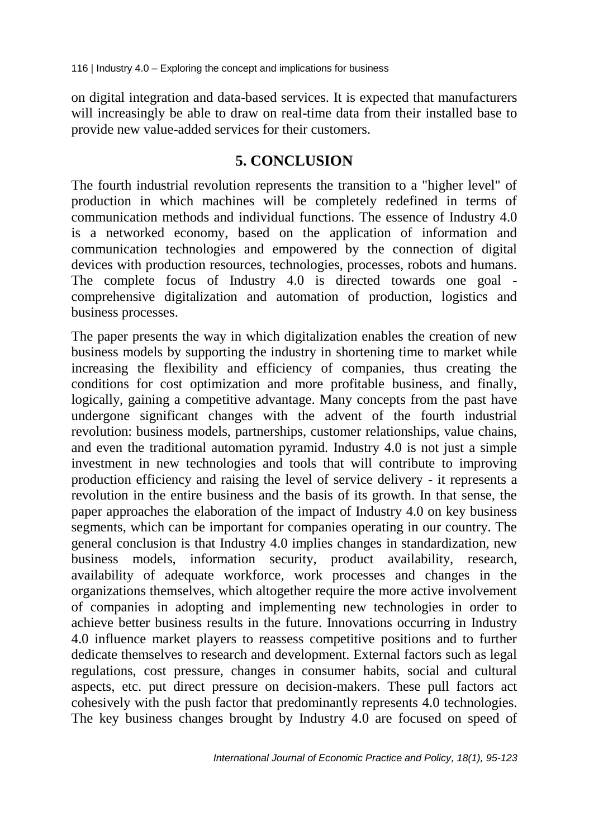on digital integration and data-based services. It is expected that manufacturers will increasingly be able to draw on real-time data from their installed base to provide new value-added services for their customers.

#### **5. CONCLUSION**

The fourth industrial revolution represents the transition to a "higher level" of production in which machines will be completely redefined in terms of communication methods and individual functions. The essence of Industry 4.0 is a networked economy, based on the application of information and communication technologies and empowered by the connection of digital devices with production resources, technologies, processes, robots and humans. The complete focus of Industry 4.0 is directed towards one goal comprehensive digitalization and automation of production, logistics and business processes.

The paper presents the way in which digitalization enables the creation of new business models by supporting the industry in shortening time to market while increasing the flexibility and efficiency of companies, thus creating the conditions for cost optimization and more profitable business, and finally, logically, gaining a competitive advantage. Many concepts from the past have undergone significant changes with the advent of the fourth industrial revolution: business models, partnerships, customer relationships, value chains, and even the traditional automation pyramid. Industry 4.0 is not just a simple investment in new technologies and tools that will contribute to improving production efficiency and raising the level of service delivery - it represents a revolution in the entire business and the basis of its growth. In that sense, the paper approaches the elaboration of the impact of Industry 4.0 on key business segments, which can be important for companies operating in our country. The general conclusion is that Industry 4.0 implies changes in standardization, new business models, information security, product availability, research, availability of adequate workforce, work processes and changes in the organizations themselves, which altogether require the more active involvement of companies in adopting and implementing new technologies in order to achieve better business results in the future. Innovations occurring in Industry 4.0 influence market players to reassess competitive positions and to further dedicate themselves to research and development. External factors such as legal regulations, cost pressure, changes in consumer habits, social and cultural aspects, etc. put direct pressure on decision-makers. These pull factors act cohesively with the push factor that predominantly represents 4.0 technologies. The key business changes brought by Industry 4.0 are focused on speed of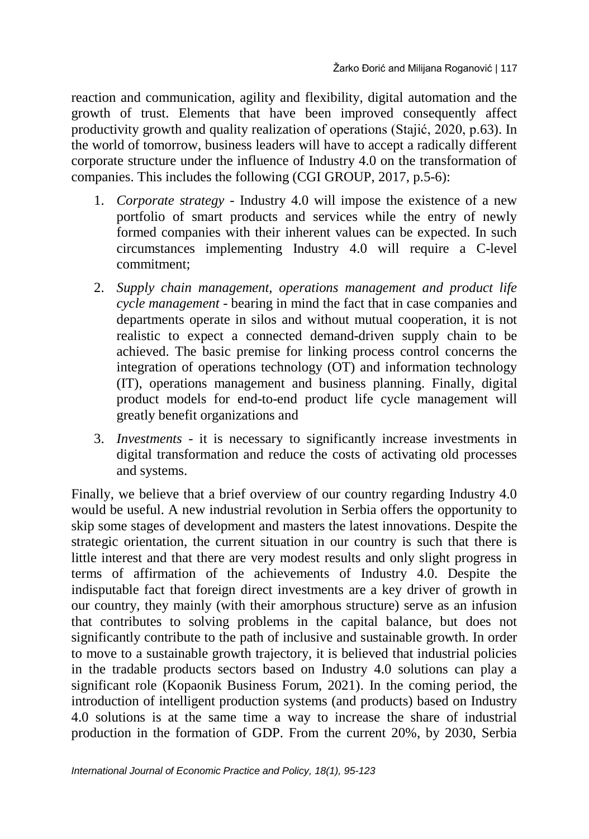reaction and communication, agility and flexibility, digital automation and the growth of trust. Elements that have been improved consequently affect productivity growth and quality realization of operations (Stajić, 2020, p.63). In the world of tomorrow, business leaders will have to accept a radically different corporate structure under the influence of Industry 4.0 on the transformation of companies. This includes the following (CGI GROUP, 2017, p.5-6):

- 1. *Corporate strategy* Industry 4.0 will impose the existence of a new portfolio of smart products and services while the entry of newly formed companies with their inherent values can be expected. In such circumstances implementing Industry 4.0 will require a C-level commitment;
- 2. *Supply chain management, operations management and product life cycle management* - bearing in mind the fact that in case companies and departments operate in silos and without mutual cooperation, it is not realistic to expect a connected demand-driven supply chain to be achieved. The basic premise for linking process control concerns the integration of operations technology (OT) and information technology (IT), operations management and business planning. Finally, digital product models for end-to-end product life cycle management will greatly benefit organizations and
- 3. *Investments* it is necessary to significantly increase investments in digital transformation and reduce the costs of activating old processes and systems.

Finally, we believe that a brief overview of our country regarding Industry 4.0 would be useful. A new industrial revolution in Serbia offers the opportunity to skip some stages of development and masters the latest innovations. Despite the strategic orientation, the current situation in our country is such that there is little interest and that there are very modest results and only slight progress in terms of affirmation of the achievements of Industry 4.0. Despite the indisputable fact that foreign direct investments are a key driver of growth in our country, they mainly (with their amorphous structure) serve as an infusion that contributes to solving problems in the capital balance, but does not significantly contribute to the path of inclusive and sustainable growth. In order to move to a sustainable growth trajectory, it is believed that industrial policies in the tradable products sectors based on Industry 4.0 solutions can play a significant role (Kopaonik Business Forum, 2021). In the coming period, the introduction of intelligent production systems (and products) based on Industry 4.0 solutions is at the same time a way to increase the share of industrial production in the formation of GDP. From the current 20%, by 2030, Serbia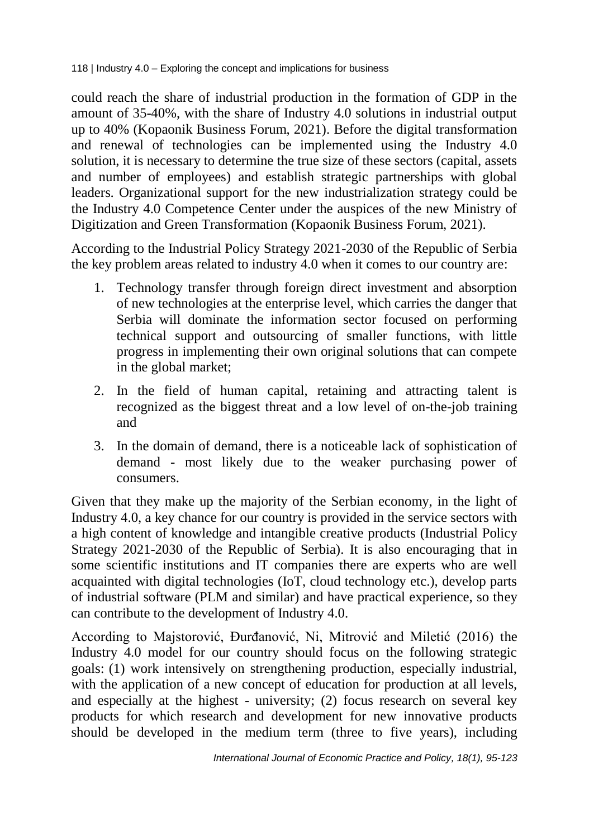could reach the share of industrial production in the formation of GDP in the amount of 35-40%, with the share of Industry 4.0 solutions in industrial output up to 40% (Kopaonik Business Forum, 2021). Before the digital transformation and renewal of technologies can be implemented using the Industry 4.0 solution, it is necessary to determine the true size of these sectors (capital, assets and number of employees) and establish strategic partnerships with global leaders. Organizational support for the new industrialization strategy could be the Industry 4.0 Competence Center under the auspices of the new Ministry of Digitization and Green Transformation (Kopaonik Business Forum, 2021).

According to the Industrial Policy Strategy 2021-2030 of the Republic of Serbia the key problem areas related to industry 4.0 when it comes to our country are:

- 1. Technology transfer through foreign direct investment and absorption of new technologies at the enterprise level, which carries the danger that Serbia will dominate the information sector focused on performing technical support and outsourcing of smaller functions, with little progress in implementing their own original solutions that can compete in the global market;
- 2. In the field of human capital, retaining and attracting talent is recognized as the biggest threat and a low level of on-the-job training and
- 3. In the domain of demand, there is a noticeable lack of sophistication of demand - most likely due to the weaker purchasing power of consumers.

Given that they make up the majority of the Serbian economy, in the light of Industry 4.0, a key chance for our country is provided in the service sectors with a high content of knowledge and intangible creative products (Industrial Policy Strategy 2021-2030 of the Republic of Serbia). It is also encouraging that in some scientific institutions and IT companies there are experts who are well acquainted with digital technologies (IoT, cloud technology etc.), develop parts of industrial software (PLM and similar) and have practical experience, so they can contribute to the development of Industry 4.0.

According to Majstorović, Đurđanović, Ni, Mitrović and Miletić (2016) the Industry 4.0 model for our country should focus on the following strategic goals: (1) work intensively on strengthening production, especially industrial, with the application of a new concept of education for production at all levels, and especially at the highest - university; (2) focus research on several key products for which research and development for new innovative products should be developed in the medium term (three to five years), including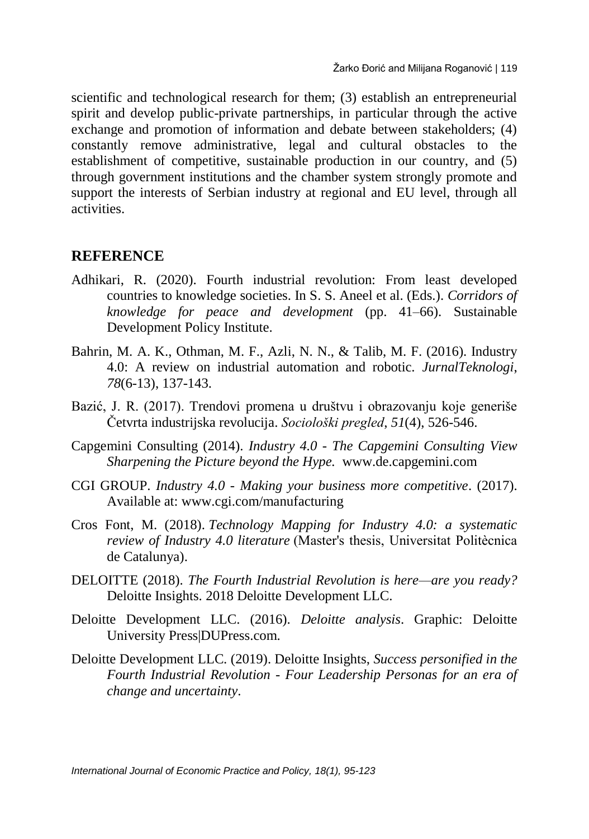scientific and technological research for them; (3) establish an entrepreneurial spirit and develop public-private partnerships, in particular through the active exchange and promotion of information and debate between stakeholders; (4) constantly remove administrative, legal and cultural obstacles to the establishment of competitive, sustainable production in our country, and (5) through government institutions and the chamber system strongly promote and support the interests of Serbian industry at regional and EU level, through all activities.

#### **REFERENCE**

- Adhikari, R. (2020). Fourth industrial revolution: From least developed countries to knowledge societies. In S. S. Aneel et al. (Eds.). *Corridors of knowledge for peace and development* (pp. 41–66). Sustainable Development Policy Institute.
- Bahrin, M. A. K., Othman, M. F., Azli, N. N., & Talib, M. F. (2016). Industry 4.0: A review on industrial automation and robotic. *JurnalTeknologi*, *78*(6-13), 137-143.
- Bazić, J. R. (2017). Trendovi promena u društvu i obrazovanju koje generiše Četvrta industrijska revolucija. *Sociološki pregled*, *51*(4), 526-546.
- Capgemini Consulting (2014). *Industry 4.0 - The Capgemini Consulting View Sharpening the Picture beyond the Hype.* www.de.capgemini.com
- CGI GROUP. *Industry 4.0 - Making your business more competitive*. (2017). Available at: www.cgi.com/manufacturing
- Cros Font, M. (2018). *Technology Mapping for Industry 4.0: a systematic review of Industry 4.0 literature* (Master's thesis, Universitat Politècnica de Catalunya).
- DELOITTE (2018). *The Fourth Industrial Revolution is here—are you ready?*  Deloitte Insights. 2018 Deloitte Development LLC.
- Deloitte Development LLC. (2016). *Deloitte analysis*. Graphic: Deloitte University Press|DUPress.com.
- Deloitte Development LLC. (2019). Deloitte Insights, *Success personified in the Fourth Industrial Revolution - Four Leadership Personas for an era of change and uncertainty*.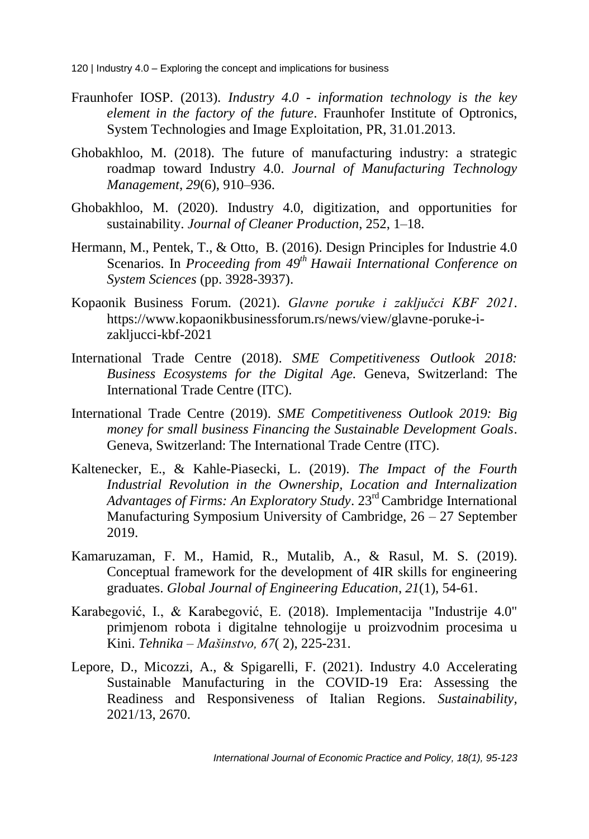- Fraunhofer IOSP. (2013). *Industry 4.0 - information technology is the key element in the factory of the future*. Fraunhofer Institute of Optronics, System Technologies and Image Exploitation, PR, 31.01.2013.
- Ghobakhloo, M. (2018). The future of manufacturing industry: a strategic roadmap toward Industry 4.0. *Journal of Manufacturing Technology Management*, *29*(6), 910–936.
- Ghobakhloo, M. (2020). Industry 4.0, digitization, and opportunities for sustainability. *Journal of Cleaner Production*, 252, 1–18.
- Hermann, M., Pentek, T., & Otto, B. (2016). Design Principles for Industrie 4.0 Scenarios. In *Proceeding from 49th Hawaii International Conference on System Sciences* (pp. 3928-3937).
- Kopaonik Business Forum. (2021). *Glavne poruke i zaključci KBF 2021*. https://www.kopaonikbusinessforum.rs/news/view/glavne-poruke-izakljucci-kbf-2021
- International Trade Centre (2018). *SME Competitiveness Outlook 2018: Business Ecosystems for the Digital Age.* Geneva, Switzerland: The International Trade Centre (ITC).
- International Trade Centre (2019). *SME Competitiveness Outlook 2019: Big money for small business Financing the Sustainable Development Goals*. Geneva, Switzerland: The International Trade Centre (ITC).
- Kaltenecker, E., & Kahle-Piasecki, L. (2019). *The Impact of the Fourth Industrial Revolution in the Ownership, Location and Internalization Advantages of Firms: An Exploratory Study*. 23rd Cambridge International Manufacturing Symposium University of Cambridge, 26 – 27 September 2019.
- Kamaruzaman, F. M., Hamid, R., Mutalib, A., & Rasul, M. S. (2019). Conceptual framework for the development of 4IR skills for engineering graduates. *Global Journal of Engineering Education*, *21*(1), 54-61.
- Karabegović, I., & Karabegović, E. (2018). Implementacija "Industrije 4.0" primjenom robota i digitalne tehnologije u proizvodnim procesima u Kini. *Tehnika – Mašinstvo, 67*( 2), 225-231.
- Lepore, D., Micozzi, A., & Spigarelli, F. (2021). Industry 4.0 Accelerating Sustainable Manufacturing in the COVID-19 Era: Assessing the Readiness and Responsiveness of Italian Regions. *Sustainability,* 2021/13, 2670.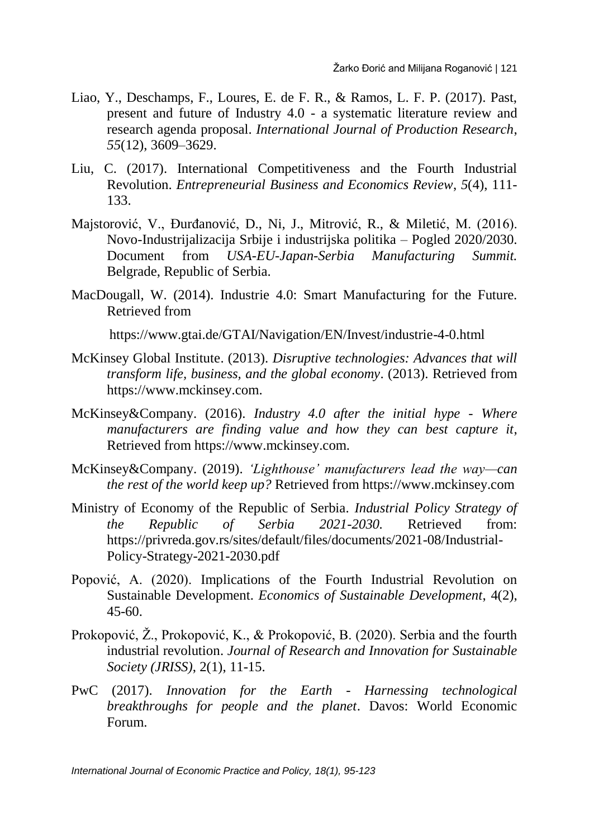- Liao, Y., Deschamps, F., Loures, E. de F. R., & Ramos, L. F. P. (2017). Past, present and future of Industry 4.0 - a systematic literature review and research agenda proposal. *International Journal of Production Research*, *55*(12), 3609–3629.
- Liu, C. (2017). International Competitiveness and the Fourth Industrial Revolution. *Entrepreneurial Business and Economics Review*, *5*(4), 111- 133.
- Majstorović, V., Đurđanović, D., Ni, J., Mitrović, R., & Miletić, M. (2016). Novo-Industrijalizacija Srbije i industrijska politika – Pogled 2020/2030. Document from *USA-EU-Japan-Serbia Manufacturing Summit.* Belgrade, Republic of Serbia.
- MacDougall, W. (2014). Industrie 4.0: Smart Manufacturing for the Future. Retrieved from

https://www.gtai.de/GTAI/Navigation/EN/Invest/industrie-4-0.html

- McKinsey Global Institute. (2013). *Disruptive technologies: Advances that will transform life, business, and the global economy*. (2013). Retrieved from https://www.mckinsey.com.
- McKinsey&Company. (2016). *Industry 4.0 after the initial hype - Where manufacturers are finding value and how they can best capture it*, Retrieved from https://www.mckinsey.com.
- McKinsey&Company. (2019). *'Lighthouse' manufacturers lead the way—can the rest of the world keep up?* Retrieved from https://www.mckinsey.com
- Ministry of Economy of the Republic of Serbia. *Industrial Policy Strategy of the Republic of Serbia 2021-2030.* Retrieved from: https://privreda.gov.rs/sites/default/files/documents/2021-08/Industrial-Policy-Strategy-2021-2030.pdf
- Popović, A. (2020). Implications of the Fourth Industrial Revolution on Sustainable Development. *Economics of Sustainable Development*, 4(2), 45-60.
- Prokopović, Ž., Prokopović, K., & Prokopović, B. (2020). Serbia and the fourth industrial revolution. *Journal of Research and Innovation for Sustainable Society (JRISS)*, 2(1), 11-15.
- PwC (2017). *Innovation for the Earth - Harnessing technological breakthroughs for people and the planet*. Davos: World Economic Forum.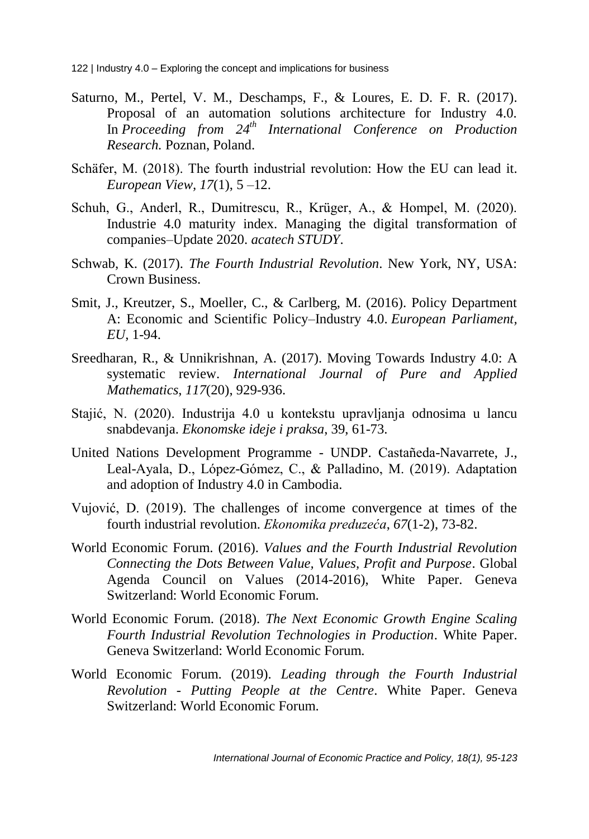- Saturno, M., Pertel, V. M., Deschamps, F., & Loures, E. D. F. R. (2017). Proposal of an automation solutions architecture for Industry 4.0. In *Proceeding from 24th International Conference on Production Research.* Poznan, Poland.
- Schäfer, M. (2018). The fourth industrial revolution: How the EU can lead it. *European View, 17*(1), 5 –12.
- Schuh, G., Anderl, R., Dumitrescu, R., Krüger, A., & Hompel, M. (2020). Industrie 4.0 maturity index. Managing the digital transformation of companies–Update 2020. *acatech STUDY*.
- Schwab, K. (2017). *The Fourth Industrial Revolution*. New York, NY, USA: Crown Business.
- Smit, J., Kreutzer, S., Moeller, C., & Carlberg, M. (2016). Policy Department A: Economic and Scientific Policy–Industry 4.0. *European Parliament, EU*, 1-94.
- Sreedharan, R., & Unnikrishnan, A. (2017). Moving Towards Industry 4.0: A systematic review. *International Journal of Pure and Applied Mathematics*, *117*(20), 929-936.
- Stajić, N. (2020). Industrija 4.0 u kontekstu upravljanja odnosima u lancu snabdevanja. *Ekonomske ideje i praksa*, 39, 61-73.
- United Nations Development Programme UNDP. Castañeda-Navarrete, J., Leal-Ayala, D., López-Gómez, C., & Palladino, M. (2019). Adaptation and adoption of Industry 4.0 in Cambodia.
- Vujović, D. (2019). The challenges of income convergence at times of the fourth industrial revolution. *Ekonomika preduzeća*, *67*(1-2), 73-82.
- World Economic Forum. (2016). *Values and the Fourth Industrial Revolution Connecting the Dots Between Value, Values, Profit and Purpose*. Global Agenda Council on Values (2014-2016), White Paper. Geneva Switzerland: World Economic Forum.
- World Economic Forum. (2018). *The Next Economic Growth Engine Scaling Fourth Industrial Revolution Technologies in Production*. White Paper. Geneva Switzerland: World Economic Forum.
- World Economic Forum. (2019). *Leading through the Fourth Industrial Revolution - Putting People at the Centre*. White Paper. Geneva Switzerland: World Economic Forum.